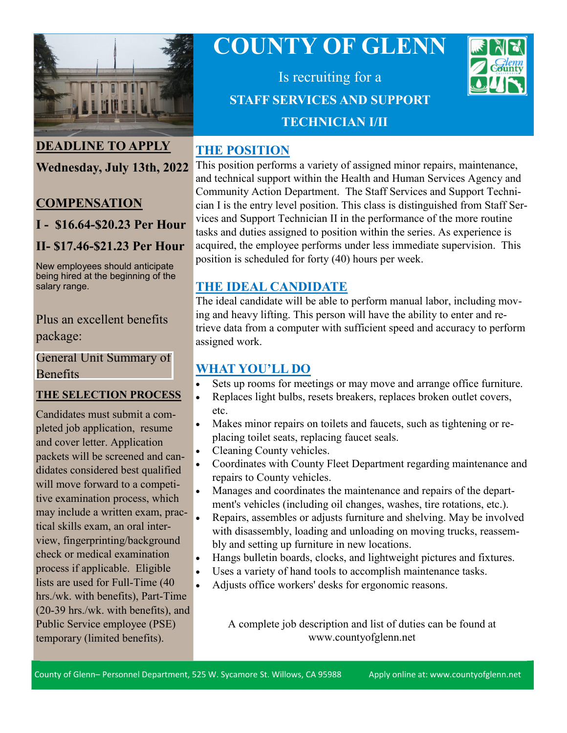

## **DEADLINE TO APPLY**

# **Wednesday, July 13th, 2022**

#### **COMPENSATION**

**I - \$16.64-\$20.23 Per Hour**

## **II- \$17.46-\$21.23 Per Hour**

New employees should anticipate being hired at the beginning of the salary range.

#### Plus an excellent benefits package:

[General Unit Summary of](https://www.countyofglenn.net/sites/default/files/Personnel/MOU/GCPERL%2014-GU%20Sum%20of%20Benefits%2020110701_0.pdf)  **Benefits** 

#### **THE SELECTION PROCESS**

Candidates must submit a completed job application, resume and cover letter. Application packets will be screened and candidates considered best qualified will move forward to a competitive examination process, which may include a written exam, practical skills exam, an oral interview, fingerprinting/background check or medical examination process if applicable. Eligible lists are used for Full-Time (40 hrs./wk. with benefits), Part-Time (20-39 hrs./wk. with benefits), and Public Service employee (PSE) temporary (limited benefits).

# **COUNTY OF GLENN**

Is recruiting for a **Human County STAFF SERVICES AND SUPPORT TECHNICIAN I/II**

## **THE POSITION**

This position performs a variety of assigned minor repairs, maintenance, and technical support within the Health and Human Services Agency and Community Action Department. The Staff Services and Support Technician I is the entry level position. This class is distinguished from Staff Services and Support Technician II in the performance of the more routine tasks and duties assigned to position within the series. As experience is acquired, the employee performs under less immediate supervision. This position is scheduled for forty (40) hours per week.

**JtflD**

## **THE IDEAL CANDIDATE**

The ideal candidate will be able to perform manual labor, including moving and heavy lifting. This person will have the ability to enter and retrieve data from a computer with sufficient speed and accuracy to perform assigned work.

# **WHAT YOU'LL DO**

- Sets up rooms for meetings or may move and arrange office furniture.
- Replaces light bulbs, resets breakers, replaces broken outlet covers, etc.
- Makes minor repairs on toilets and faucets, such as tightening or replacing toilet seats, replacing faucet seals.
- Cleaning County vehicles.
- Coordinates with County Fleet Department regarding maintenance and repairs to County vehicles.
- Manages and coordinates the maintenance and repairs of the department's vehicles (including oil changes, washes, tire rotations, etc.).
- Repairs, assembles or adjusts furniture and shelving. May be involved with disassembly, loading and unloading on moving trucks, reassembly and setting up furniture in new locations.
- Hangs bulletin boards, clocks, and lightweight pictures and fixtures.
- Uses a variety of hand tools to accomplish maintenance tasks.
- Adjusts office workers' desks for ergonomic reasons.

A complete job description and list of duties can be found at www.countyofglenn.net